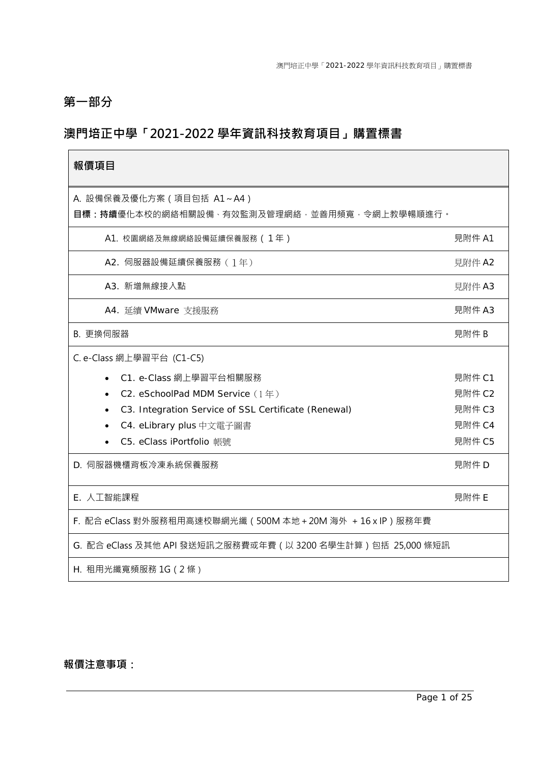# **第一部分**

# **澳門培正中學「2021-2022 學年資訊科技教育項目」購置標書**

| 報價項目                                                                       |        |  |  |  |
|----------------------------------------------------------------------------|--------|--|--|--|
| A. 設備保養及優化方案 ( 項目包括 A1~A4 )<br>目標:持續優化本校的網絡相關設備、有效監測及管理網絡‧並善用頻寬‧令網上教學暢順進行。 |        |  |  |  |
| A1. 校園網絡及無線網絡設備延續保養服務 ( 1年)                                                | 見附件 A1 |  |  |  |
| A2. 伺服器設備延續保養服務 (1年)                                                       | 見附件 A2 |  |  |  |
| A3. 新增無線接入點                                                                | 見附件 A3 |  |  |  |
| A4. 延續 VMware 支援服務                                                         | 見附件 A3 |  |  |  |
| B. 更換伺服器                                                                   | 見附件 B  |  |  |  |
| C. e-Class 網上學習平台 (C1-C5)                                                  |        |  |  |  |
| C1. e-Class 網上學習平台相關服務                                                     | 見附件 C1 |  |  |  |
| C2. eSchoolPad MDM Service (1年)                                            | 見附件 C2 |  |  |  |
| C3. Integration Service of SSL Certificate (Renewal)                       | 見附件 C3 |  |  |  |
| C4. eLibrary plus 中文電子圖書                                                   | 見附件 C4 |  |  |  |
| C5. eClass iPortfolio 帳號                                                   | 見附件 C5 |  |  |  |
| D. 伺服器機櫃背板冷凍系統保養服務                                                         | 見附件 D  |  |  |  |
| E. 人工智能課程                                                                  | 見附件 E  |  |  |  |
| F. 配合 eClass 對外服務租用高速校聯網光纖(500M 本地 + 20M 海外 + 16 x IP)服務年費                 |        |  |  |  |
| G. 配合 eClass 及其他 API 發送短訊之服務費或年費 ( 以 3200 名學生計算 ) 包括 25,000 條短訊            |        |  |  |  |
| H. 租用光纖寬頻服務 1G (2條)                                                        |        |  |  |  |

# **報價注意事項:**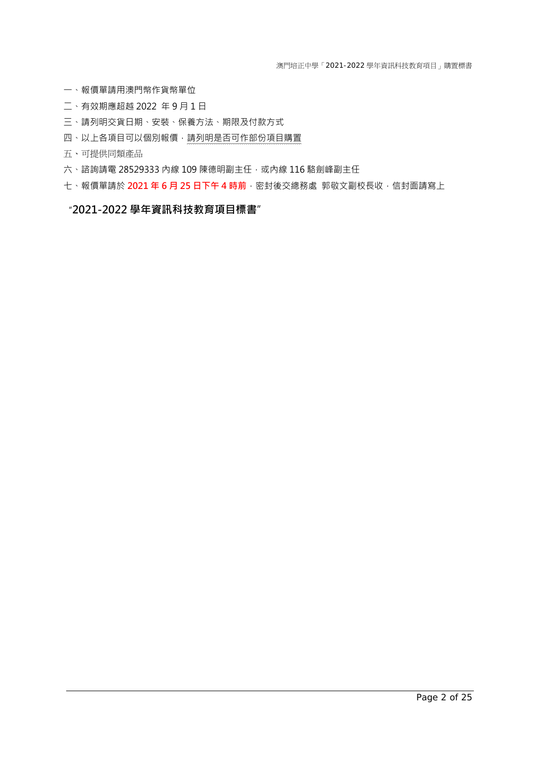澳門培正中學「2021-2022 學年資訊科技教育項目」購置標書

- 一、報價單請用澳門幣作貨幣單位
- 二、有效期應超越 2022 年 9 月 1 日
- 三、請列明交貨日期、安裝、保養方法、期限及付款方式
- 四、以上各項目可以個別報價,請列明是否可作部份項目購置
- 五、可提供同類產品
- 六、諮詢請電 28529333 內線 109 陳德明副主任,或內線 116 駱劍峰副主任
- 七、報價單請於 **2021 年 6 月 25 日下午 4 時前**,密封後交總務處 郭敬文副校長收,信封面請寫上

### "**2021-2022 學年資訊科技教育項目標書**"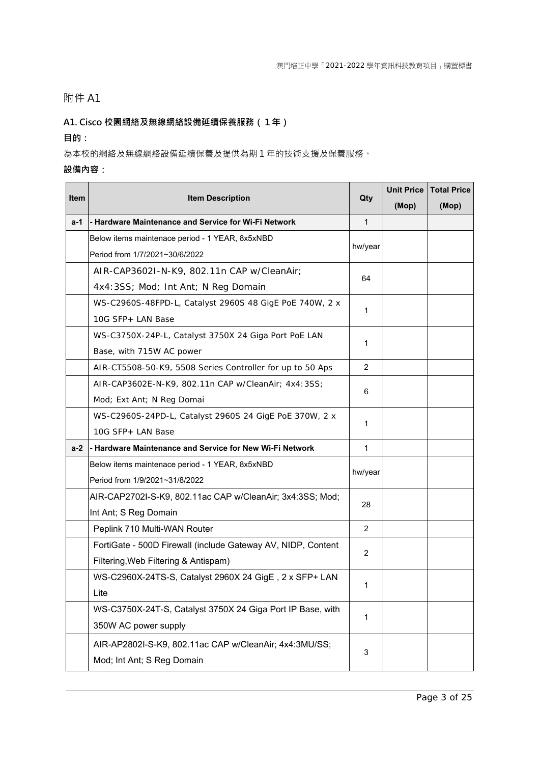### **A1. Cisco 校園網絡及無線網絡設備延續保養服務(1年)**

### **目的:**

為本校的網絡及無線網絡設備延續保養及提供為期1年的技術支援及保養服務。

| ltem | <b>Item Description</b>                                      | Qty            | <b>Unit Price</b> | <b>Total Price</b> |
|------|--------------------------------------------------------------|----------------|-------------------|--------------------|
|      |                                                              |                | (Mop)             | (Mop)              |
| a-1  | - Hardware Maintenance and Service for Wi-Fi Network         | $\mathbf{1}$   |                   |                    |
|      | Below items maintenace period - 1 YEAR, 8x5xNBD              | hw/year        |                   |                    |
|      | Period from 1/7/2021~30/6/2022                               |                |                   |                    |
|      | AIR-CAP3602I-N-K9, 802.11n CAP w/CleanAir;                   | 64             |                   |                    |
|      | 4x4:3SS; Mod; Int Ant; N Reg Domain                          |                |                   |                    |
|      | WS-C2960S-48FPD-L, Catalyst 2960S 48 GigE PoE 740W, 2 x      | 1              |                   |                    |
|      | 10G SFP+ LAN Base                                            |                |                   |                    |
|      | WS-C3750X-24P-L, Catalyst 3750X 24 Giga Port PoE LAN         | 1              |                   |                    |
|      | Base, with 715W AC power                                     |                |                   |                    |
|      | AIR-CT5508-50-K9, 5508 Series Controller for up to 50 Aps    | 2              |                   |                    |
|      | AIR-CAP3602E-N-K9, 802.11n CAP w/CleanAir; 4x4:3SS;          |                |                   |                    |
|      | Mod; Ext Ant; N Reg Domai                                    | 6              |                   |                    |
|      | WS-C2960S-24PD-L, Catalyst 2960S 24 GigE PoE 370W, 2 x       | 1              |                   |                    |
|      | 10G SFP+ LAN Base                                            |                |                   |                    |
| a-2  | - Hardware Maintenance and Service for New Wi-Fi Network     | $\mathbf{1}$   |                   |                    |
|      | Below items maintenace period - 1 YEAR, 8x5xNBD              | hw/year        |                   |                    |
|      | Period from 1/9/2021~31/8/2022                               |                |                   |                    |
|      | AIR-CAP2702I-S-K9, 802.11ac CAP w/CleanAir; 3x4:3SS; Mod;    | 28             |                   |                    |
|      | Int Ant; S Reg Domain                                        |                |                   |                    |
|      | Peplink 710 Multi-WAN Router                                 | $\overline{2}$ |                   |                    |
|      | FortiGate - 500D Firewall (include Gateway AV, NIDP, Content | $\overline{2}$ |                   |                    |
|      | Filtering, Web Filtering & Antispam)                         |                |                   |                    |
|      | WS-C2960X-24TS-S, Catalyst 2960X 24 GigE, 2 x SFP+ LAN       |                |                   |                    |
|      | Lite                                                         | 1              |                   |                    |
|      | WS-C3750X-24T-S, Catalyst 3750X 24 Giga Port IP Base, with   |                |                   |                    |
|      | 350W AC power supply                                         | 1              |                   |                    |
|      | AIR-AP2802I-S-K9, 802.11ac CAP w/CleanAir; 4x4:3MU/SS;       |                |                   |                    |
|      | Mod; Int Ant; S Reg Domain                                   | 3              |                   |                    |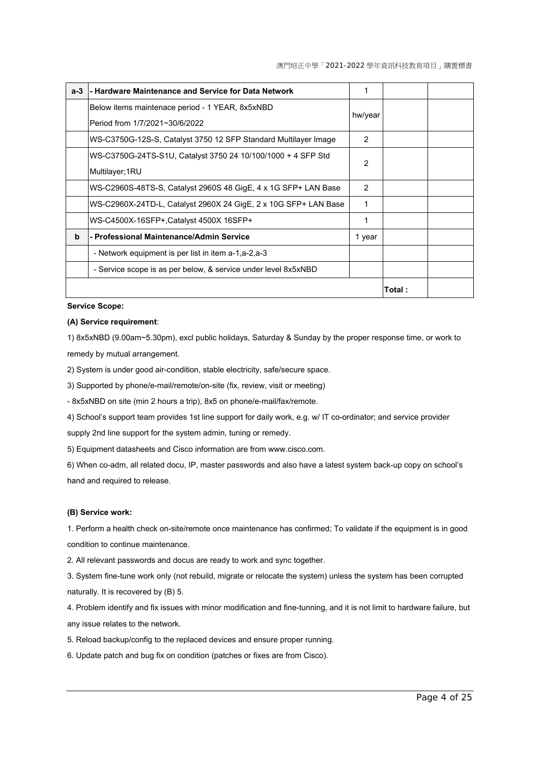| $a-3$ | - Hardware Maintenance and Service for Data Network             | 1             |        |  |
|-------|-----------------------------------------------------------------|---------------|--------|--|
|       | Below items maintenace period - 1 YEAR, 8x5xNBD                 |               |        |  |
|       | Period from 1/7/2021~30/6/2022                                  | hw/year       |        |  |
|       | WS-C3750G-12S-S, Catalyst 3750 12 SFP Standard Multilayer Image | $\mathcal{P}$ |        |  |
|       | WS-C3750G-24TS-S1U, Catalyst 3750 24 10/100/1000 + 4 SFP Std    | 2             |        |  |
|       | Multilayer;1RU                                                  |               |        |  |
|       | WS-C2960S-48TS-S, Catalyst 2960S 48 GigE, 4 x 1G SFP+ LAN Base  | 2             |        |  |
|       | WS-C2960X-24TD-L, Catalyst 2960X 24 GigE, 2 x 10G SFP+ LAN Base | 1             |        |  |
|       | WS-C4500X-16SFP+, Catalyst 4500X 16SFP+                         | 1             |        |  |
| b     | - Professional Maintenance/Admin Service                        | 1 year        |        |  |
|       | - Network equipment is per list in item a-1,a-2,a-3             |               |        |  |
|       | - Service scope is as per below, & service under level 8x5xNBD  |               |        |  |
|       |                                                                 |               | Total: |  |

#### **Service Scope:**

#### **(A) Service requirement**:

1) 8x5xNBD (9.00am~5.30pm), excl public holidays, Saturday & Sunday by the proper response time, or work to remedy by mutual arrangement.

2) System is under good air-condition, stable electricity, safe/secure space.

3) Supported by phone/e-mail/remote/on-site (fix, review, visit or meeting)

- 8x5xNBD on site (min 2 hours a trip), 8x5 on phone/e-mail/fax/remote.

4) School's support team provides 1st line support for daily work, e.g. w/ IT co-ordinator; and service provider

supply 2nd line support for the system admin, tuning or remedy.

5) Equipment datasheets and Cisco information are from www.cisco.com.

6) When co-adm, all related docu, IP, master passwords and also have a latest system back-up copy on school's hand and required to release.

#### **(B) Service work:**

1. Perform a health check on-site/remote once maintenance has confirmed; To validate if the equipment is in good condition to continue maintenance.

2. All relevant passwords and docus are ready to work and sync together.

3. System fine-tune work only (not rebuild, migrate or relocate the system) unless the system has been corrupted naturally. It is recovered by (B) 5.

4. Problem identify and fix issues with minor modification and fine-tunning, and it is not limit to hardware failure, but any issue relates to the network.

5. Reload backup/config to the replaced devices and ensure proper running.

6. Update patch and bug fix on condition (patches or fixes are from Cisco).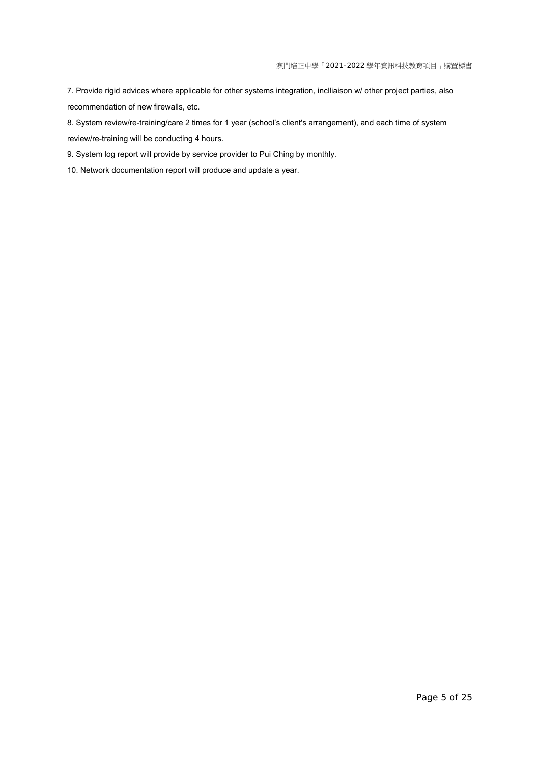7. Provide rigid advices where applicable for other systems integration, inclliaison w/ other project parties, also recommendation of new firewalls, etc.

8. System review/re-training/care 2 times for 1 year (school's client's arrangement), and each time of system review/re-training will be conducting 4 hours.

9. System log report will provide by service provider to Pui Ching by monthly.

10. Network documentation report will produce and update a year.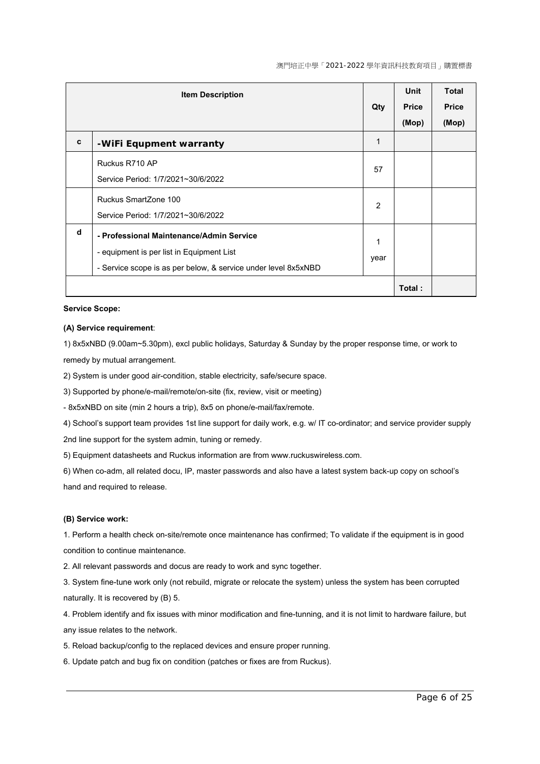|   | <b>Item Description</b>                                                                                                                                 |                |        | <b>Total</b><br><b>Price</b><br>(Mop) |
|---|---------------------------------------------------------------------------------------------------------------------------------------------------------|----------------|--------|---------------------------------------|
| C | -WiFi Equpment warranty                                                                                                                                 | $\mathbf{1}$   |        |                                       |
|   | Ruckus R710 AP<br>Service Period: 1/7/2021~30/6/2022                                                                                                    | 57             |        |                                       |
|   | Ruckus SmartZone 100<br>Service Period: 1/7/2021~30/6/2022                                                                                              | $\overline{2}$ |        |                                       |
| d | - Professional Maintenance/Admin Service<br>- equipment is per list in Equipment List<br>- Service scope is as per below, & service under level 8x5xNBD | 1<br>year      |        |                                       |
|   |                                                                                                                                                         |                | Total: |                                       |

#### **Service Scope:**

#### **(A) Service requirement**:

1) 8x5xNBD (9.00am~5.30pm), excl public holidays, Saturday & Sunday by the proper response time, or work to remedy by mutual arrangement.

2) System is under good air-condition, stable electricity, safe/secure space.

3) Supported by phone/e-mail/remote/on-site (fix, review, visit or meeting)

- 8x5xNBD on site (min 2 hours a trip), 8x5 on phone/e-mail/fax/remote.

4) School's support team provides 1st line support for daily work, e.g. w/ IT co-ordinator; and service provider supply 2nd line support for the system admin, tuning or remedy.

5) Equipment datasheets and Ruckus information are from www.ruckuswireless.com.

6) When co-adm, all related docu, IP, master passwords and also have a latest system back-up copy on school's hand and required to release.

#### **(B) Service work:**

1. Perform a health check on-site/remote once maintenance has confirmed; To validate if the equipment is in good condition to continue maintenance.

2. All relevant passwords and docus are ready to work and sync together.

3. System fine-tune work only (not rebuild, migrate or relocate the system) unless the system has been corrupted naturally. It is recovered by (B) 5.

4. Problem identify and fix issues with minor modification and fine-tunning, and it is not limit to hardware failure, but any issue relates to the network.

5. Reload backup/config to the replaced devices and ensure proper running.

6. Update patch and bug fix on condition (patches or fixes are from Ruckus).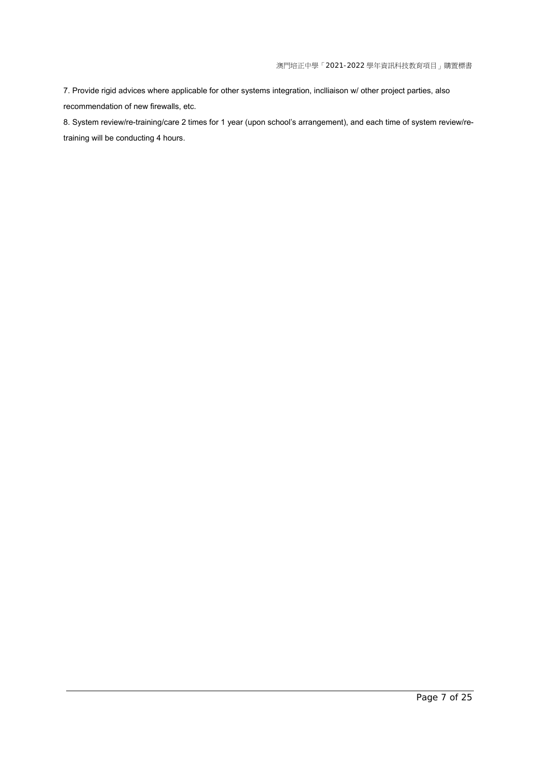7. Provide rigid advices where applicable for other systems integration, inclliaison w/ other project parties, also recommendation of new firewalls, etc.

8. System review/re-training/care 2 times for 1 year (upon school's arrangement), and each time of system review/retraining will be conducting 4 hours.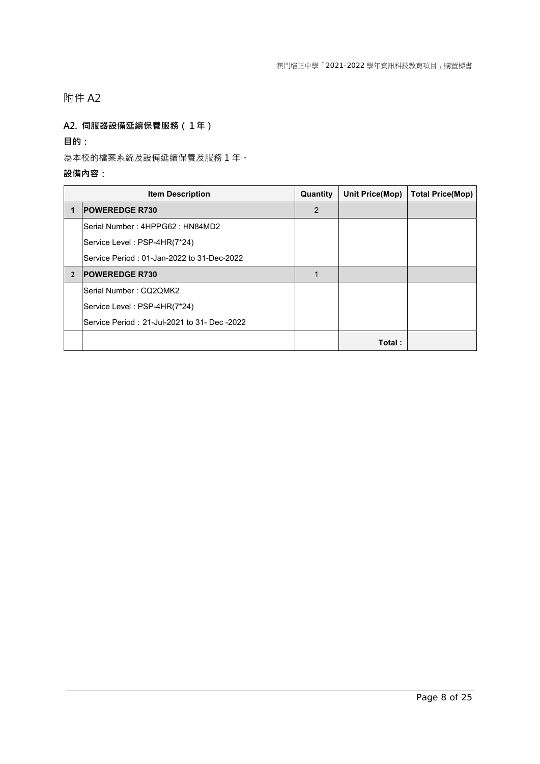### **A2. 伺服器設備延續保養服務(1年)**

**目的:** 

為本校的檔案系統及設備延續保養及服務 1 年。

|                | <b>Item Description</b>                      | Quantity | <b>Unit Price(Mop)</b> | <b>Total Price(Mop)</b> |
|----------------|----------------------------------------------|----------|------------------------|-------------------------|
|                | <b>POWEREDGE R730</b>                        | 2        |                        |                         |
|                | Serial Number: 4HPPG62; HN84MD2              |          |                        |                         |
|                | Service Level: PSP-4HR(7*24)                 |          |                        |                         |
|                | Service Period: 01-Jan-2022 to 31-Dec-2022   |          |                        |                         |
| $\mathfrak{D}$ | <b>POWEREDGE R730</b>                        |          |                        |                         |
|                | Serial Number: CQ2QMK2                       |          |                        |                         |
|                | Service Level: PSP-4HR(7*24)                 |          |                        |                         |
|                | Service Period: 21-Jul-2021 to 31- Dec -2022 |          |                        |                         |
|                |                                              |          | Total:                 |                         |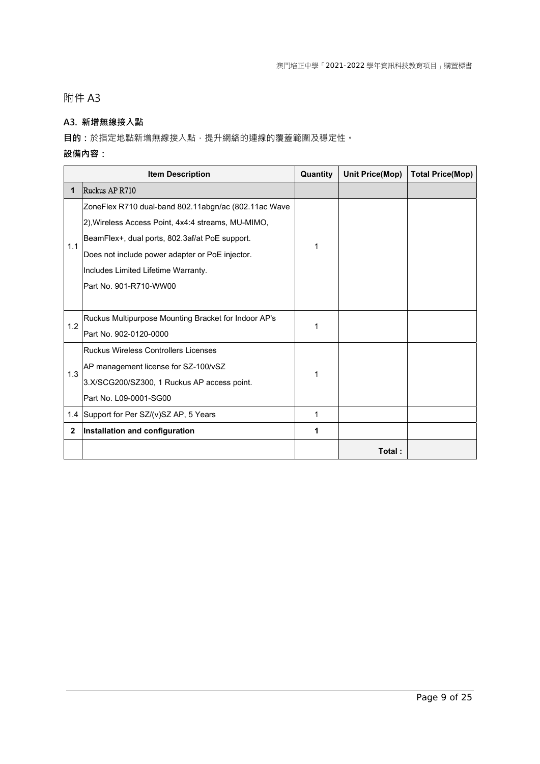### **A3. 新增無線接入點**

**目的**:於指定地點新增無線接入點,提升網絡的連線的覆蓋範圍及穩定性。

|              | <b>Item Description</b>                              | Quantity | <b>Unit Price(Mop)</b> | <b>Total Price(Mop)</b> |
|--------------|------------------------------------------------------|----------|------------------------|-------------------------|
| 1            | Ruckus AP R710                                       |          |                        |                         |
|              | ZoneFlex R710 dual-band 802.11abgn/ac (802.11ac Wave |          |                        |                         |
|              | 2), Wireless Access Point, 4x4:4 streams, MU-MIMO,   |          |                        |                         |
| 1.1          | BeamFlex+, dual ports, 802.3af/at PoE support.       | 1        |                        |                         |
|              | Does not include power adapter or PoE injector.      |          |                        |                         |
|              | Includes Limited Lifetime Warranty.                  |          |                        |                         |
|              | Part No. 901-R710-WW00                               |          |                        |                         |
|              |                                                      |          |                        |                         |
| 1.2          | Ruckus Multipurpose Mounting Bracket for Indoor AP's | 1        |                        |                         |
|              | Part No. 902-0120-0000                               |          |                        |                         |
|              | <b>Ruckus Wireless Controllers Licenses</b>          |          |                        |                         |
| 1.3          | AP management license for SZ-100/vSZ                 | 1        |                        |                         |
|              | 3.X/SCG200/SZ300, 1 Ruckus AP access point.          |          |                        |                         |
|              | Part No. L09-0001-SG00                               |          |                        |                         |
|              | 1.4 Support for Per SZ/(v)SZ AP, 5 Years             | 1        |                        |                         |
| $\mathbf{2}$ | Installation and configuration                       | 1        |                        |                         |
|              |                                                      |          | Total:                 |                         |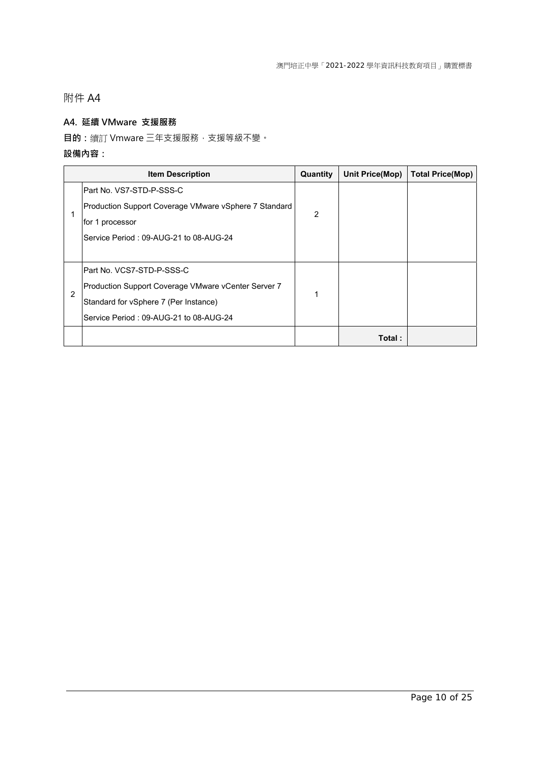### **A4. 延續 VMware 支援服務**

**目的:**續訂 Vmware 三年支援服務,支援等級不變。

|   | <b>Item Description</b>                               | Quantity       | Unit Price(Mop) | <b>Total Price(Mop)</b> |
|---|-------------------------------------------------------|----------------|-----------------|-------------------------|
|   | lPart No. VS7-STD-P-SSS-C                             |                |                 |                         |
|   | Production Support Coverage VMware vSphere 7 Standard | $\mathfrak{p}$ |                 |                         |
|   | for 1 processor                                       |                |                 |                         |
|   | Service Period: 09-AUG-21 to 08-AUG-24                |                |                 |                         |
|   |                                                       |                |                 |                         |
|   | Part No. VCS7-STD-P-SSS-C                             |                |                 |                         |
|   | Production Support Coverage VMware vCenter Server 7   | 1              |                 |                         |
| 2 | Standard for vSphere 7 (Per Instance)                 |                |                 |                         |
|   | Service Period: 09-AUG-21 to 08-AUG-24                |                |                 |                         |
|   |                                                       |                | Total:          |                         |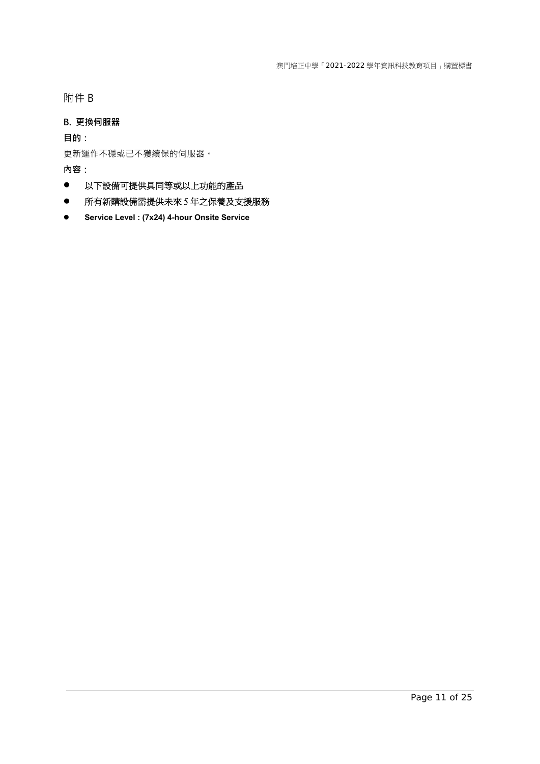附件 B

### **B. 更換伺服器**

**目的:** 

更新運作不穩或已不獲續保的伺服器。

- 以下設備可提供具同等或以上功能的產品
- 所有新購設備需提供未來 5 年之保養及支援服務
- **Service Level : (7x24) 4-hour Onsite Service**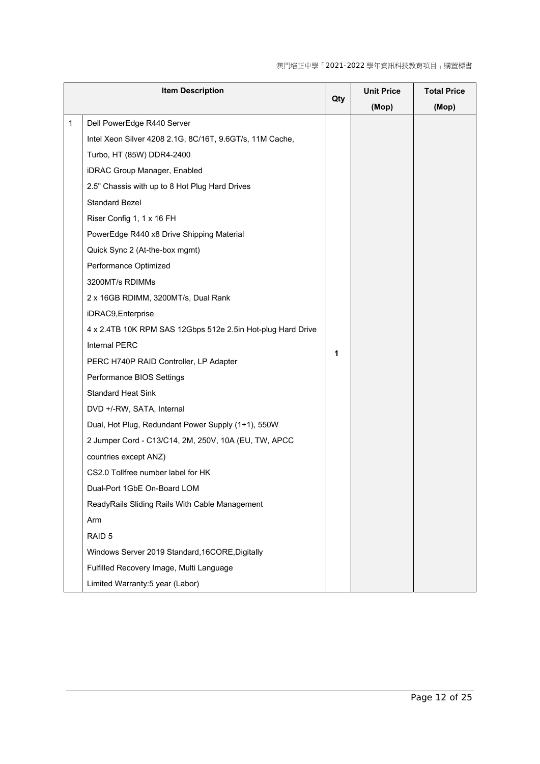澳門培正中學「2021-2022 學年資訊科技教育項目」購置標書

| <b>Item Description</b> |                                                             |     | <b>Unit Price</b> | <b>Total Price</b> |
|-------------------------|-------------------------------------------------------------|-----|-------------------|--------------------|
|                         |                                                             | Qty | (Mop)             | (Mop)              |
| 1                       | Dell PowerEdge R440 Server                                  |     |                   |                    |
|                         | Intel Xeon Silver 4208 2.1G, 8C/16T, 9.6GT/s, 11M Cache,    |     |                   |                    |
|                         | Turbo, HT (85W) DDR4-2400                                   |     |                   |                    |
|                         | iDRAC Group Manager, Enabled                                |     |                   |                    |
|                         | 2.5" Chassis with up to 8 Hot Plug Hard Drives              |     |                   |                    |
|                         | <b>Standard Bezel</b>                                       |     |                   |                    |
|                         | Riser Config 1, 1 x 16 FH                                   |     |                   |                    |
|                         | PowerEdge R440 x8 Drive Shipping Material                   |     |                   |                    |
|                         | Quick Sync 2 (At-the-box mgmt)                              |     |                   |                    |
|                         | Performance Optimized                                       |     |                   |                    |
|                         | 3200MT/s RDIMMs                                             |     |                   |                    |
|                         | 2 x 16GB RDIMM, 3200MT/s, Dual Rank                         |     |                   |                    |
|                         | iDRAC9, Enterprise                                          |     |                   |                    |
|                         | 4 x 2.4TB 10K RPM SAS 12Gbps 512e 2.5in Hot-plug Hard Drive |     |                   |                    |
|                         | Internal PERC                                               | 1   |                   |                    |
|                         | PERC H740P RAID Controller, LP Adapter                      |     |                   |                    |
|                         | Performance BIOS Settings                                   |     |                   |                    |
|                         | <b>Standard Heat Sink</b>                                   |     |                   |                    |
|                         | DVD +/-RW, SATA, Internal                                   |     |                   |                    |
|                         | Dual, Hot Plug, Redundant Power Supply (1+1), 550W          |     |                   |                    |
|                         | 2 Jumper Cord - C13/C14, 2M, 250V, 10A (EU, TW, APCC        |     |                   |                    |
|                         | countries except ANZ)                                       |     |                   |                    |
|                         | CS2.0 Tollfree number label for HK                          |     |                   |                    |
|                         | Dual-Port 1GbE On-Board LOM                                 |     |                   |                    |
|                         | ReadyRails Sliding Rails With Cable Management              |     |                   |                    |
|                         | Arm                                                         |     |                   |                    |
|                         | RAID <sub>5</sub>                                           |     |                   |                    |
|                         | Windows Server 2019 Standard, 16CORE, Digitally             |     |                   |                    |
|                         | Fulfilled Recovery Image, Multi Language                    |     |                   |                    |
|                         | Limited Warranty:5 year (Labor)                             |     |                   |                    |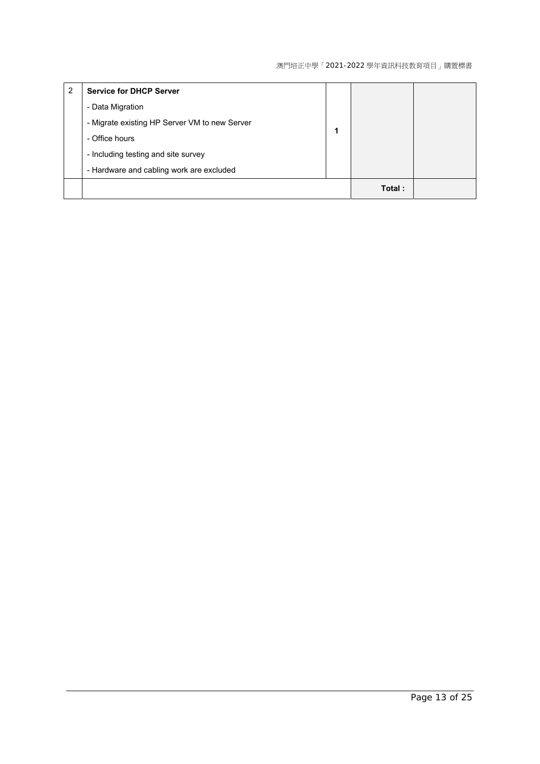| 2 | <b>Service for DHCP Server</b>                |        |  |
|---|-----------------------------------------------|--------|--|
|   | - Data Migration                              |        |  |
|   | - Migrate existing HP Server VM to new Server |        |  |
|   | - Office hours                                |        |  |
|   | - Including testing and site survey           |        |  |
|   | - Hardware and cabling work are excluded      |        |  |
|   |                                               | Total: |  |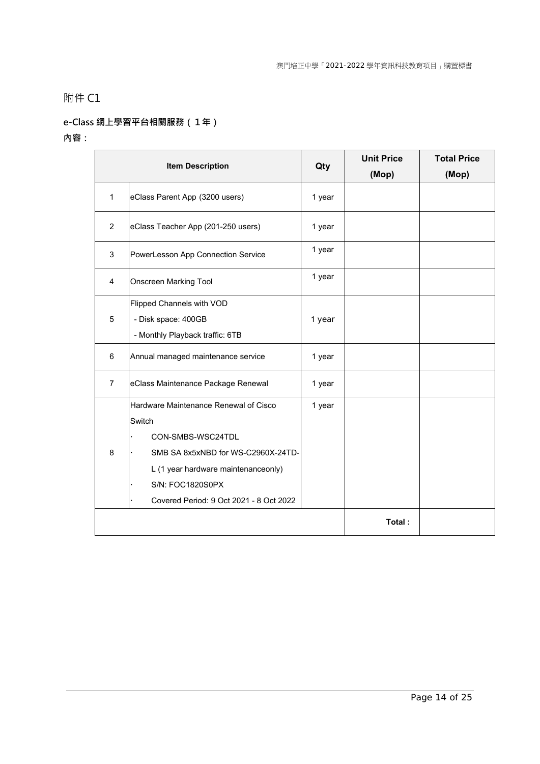## **e-Class 網上學習平台相關服務(1年)**

|                                                                                                                                                                                                                       | <b>Item Description</b>            | Qty    | <b>Unit Price</b><br>(Mop) | <b>Total Price</b><br>(Mop) |
|-----------------------------------------------------------------------------------------------------------------------------------------------------------------------------------------------------------------------|------------------------------------|--------|----------------------------|-----------------------------|
| $\mathbf{1}$                                                                                                                                                                                                          | eClass Parent App (3200 users)     | 1 year |                            |                             |
| $\overline{2}$<br>eClass Teacher App (201-250 users)                                                                                                                                                                  |                                    | 1 year |                            |                             |
| 3<br>PowerLesson App Connection Service                                                                                                                                                                               |                                    | 1 year |                            |                             |
| $\overline{4}$<br><b>Onscreen Marking Tool</b>                                                                                                                                                                        |                                    | 1 year |                            |                             |
| Flipped Channels with VOD<br>$\overline{5}$<br>- Disk space: 400GB<br>- Monthly Playback traffic: 6TB                                                                                                                 |                                    | 1 year |                            |                             |
| Annual managed maintenance service<br>6                                                                                                                                                                               |                                    | 1 year |                            |                             |
| $\overline{7}$                                                                                                                                                                                                        | eClass Maintenance Package Renewal | 1 year |                            |                             |
| Hardware Maintenance Renewal of Cisco<br>Switch<br>CON-SMBS-WSC24TDL<br>8<br>SMB SA 8x5xNBD for WS-C2960X-24TD-<br>L (1 year hardware maintenanceonly)<br>S/N: FOC1820S0PX<br>Covered Period: 9 Oct 2021 - 8 Oct 2022 |                                    | 1 year |                            |                             |
|                                                                                                                                                                                                                       |                                    |        | Total:                     |                             |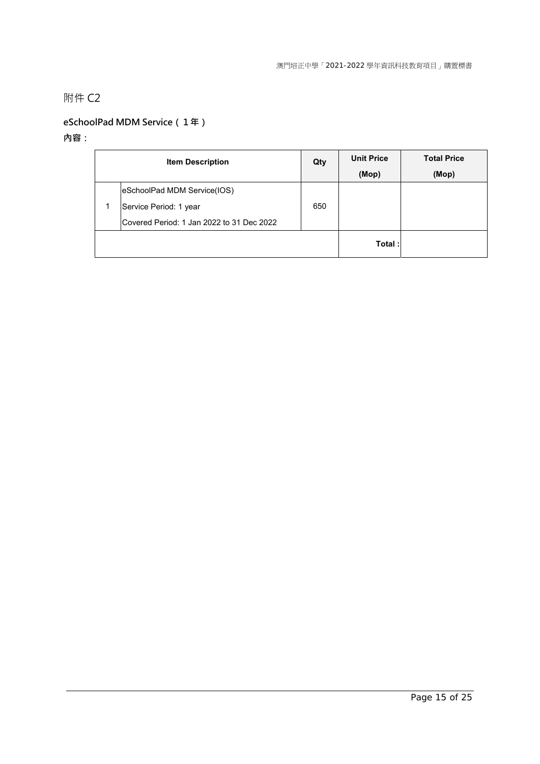## **eSchoolPad MDM Service(1年)**

| <b>Item Description</b>                   |     | <b>Unit Price</b> | <b>Total Price</b> |
|-------------------------------------------|-----|-------------------|--------------------|
|                                           |     | (Mop)             | (Mop)              |
| eSchoolPad MDM Service(IOS)               |     |                   |                    |
| Service Period: 1 year                    | 650 |                   |                    |
| Covered Period: 1 Jan 2022 to 31 Dec 2022 |     |                   |                    |
|                                           |     | Total:            |                    |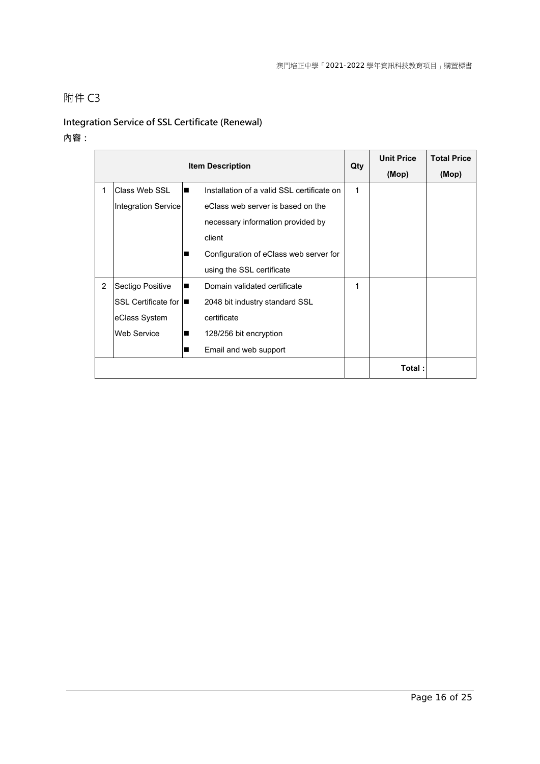# **Integration Service of SSL Certificate (Renewal)**

|              |                       |   |                                            | <b>Unit Price</b> | <b>Total Price</b> |       |
|--------------|-----------------------|---|--------------------------------------------|-------------------|--------------------|-------|
|              |                       |   | <b>Item Description</b>                    | Qty               | (Mop)              | (Mop) |
| $\mathbf{1}$ | Class Web SSL         | ■ | Installation of a valid SSL certificate on | 1                 |                    |       |
|              | Integration Service   |   | eClass web server is based on the          |                   |                    |       |
|              |                       |   | necessary information provided by          |                   |                    |       |
|              |                       |   | client                                     |                   |                    |       |
|              |                       |   | Configuration of eClass web server for     |                   |                    |       |
|              |                       |   | using the SSL certificate                  |                   |                    |       |
| 2            | Sectigo Positive      | ■ | Domain validated certificate               | 1                 |                    |       |
|              | SSL Certificate for I |   | 2048 bit industry standard SSL             |                   |                    |       |
|              | eClass System         |   | certificate                                |                   |                    |       |
|              | <b>Web Service</b>    | ■ | 128/256 bit encryption                     |                   |                    |       |
|              |                       | ■ | Email and web support                      |                   |                    |       |
|              |                       |   |                                            |                   | Total:             |       |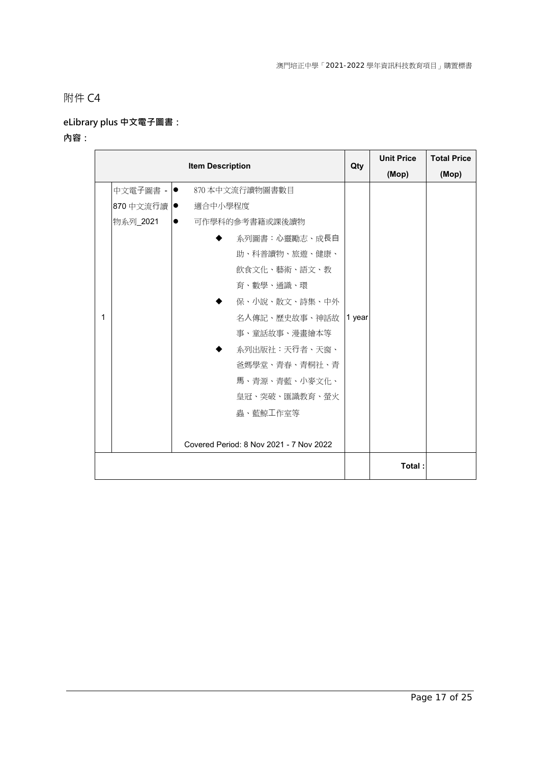# **eLibrary plus 中文電子圖書:**

|   |              |                                         |     | <b>Unit Price</b> | <b>Total Price</b> |  |  |
|---|--------------|-----------------------------------------|-----|-------------------|--------------------|--|--|
|   |              | <b>Item Description</b>                 | Qty | (Mop)             | (Mop)              |  |  |
|   | 中文電子圖書 -  ●  | 870 本中文流行讀物圖書數目                         |     |                   |                    |  |  |
|   | 870 中文流行讀  ● | 適合中小學程度                                 |     |                   |                    |  |  |
|   | 物系列_2021     | 可作學科的參考書籍或課後讀物<br>$\bullet$             |     |                   |                    |  |  |
|   |              | <b>系列圖書:心靈勵志、成長自</b>                    |     |                   |                    |  |  |
|   |              | 助、科普讀物、旅遊、健康、                           |     |                   |                    |  |  |
|   |              | 飲食文化、藝術、語文、教                            |     |                   |                    |  |  |
|   |              | 育、數學、通識、環                               |     |                   |                    |  |  |
|   |              | 保、小說、散文、詩集、中外                           |     |                   |                    |  |  |
| 1 |              | 名人傳記、歷史故事、神話故 1 year                    |     |                   |                    |  |  |
|   |              | 事、童話故事、漫畫繪本等                            |     |                   |                    |  |  |
|   |              | 系列出版社:天行者、天窗、                           |     |                   |                    |  |  |
|   |              | 爸媽學堂、青春、青桐社、青                           |     |                   |                    |  |  |
|   |              | 馬、青源、青藍、小麥文化、                           |     |                   |                    |  |  |
|   |              | 皇冠、突破、匯識教育、螢火                           |     |                   |                    |  |  |
|   |              | 蟲、藍鯨工作室等                                |     |                   |                    |  |  |
|   |              |                                         |     |                   |                    |  |  |
|   |              | Covered Period: 8 Nov 2021 - 7 Nov 2022 |     |                   |                    |  |  |
|   |              |                                         |     | Total:            |                    |  |  |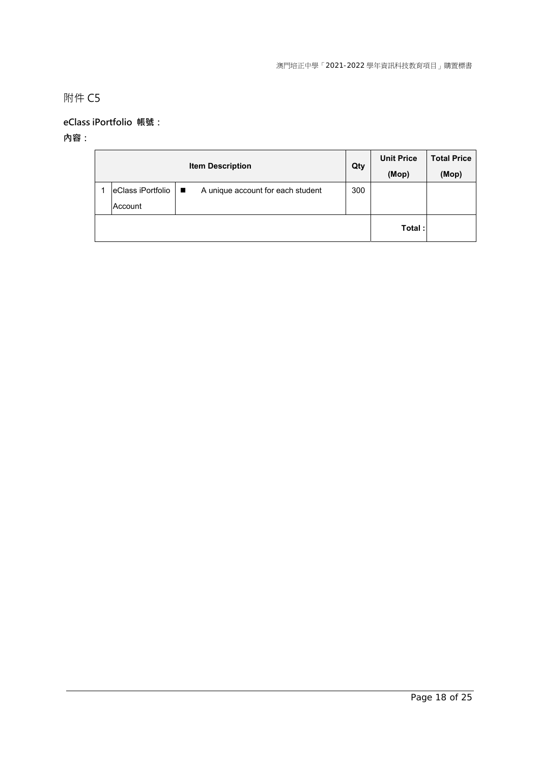## **eClass iPortfolio 帳號:**

| <b>Item Description</b>            |  | Qty                               |     | <b>Unit Price</b> | <b>Total Price</b> |
|------------------------------------|--|-----------------------------------|-----|-------------------|--------------------|
|                                    |  |                                   |     | (Mop)             | (Mop)              |
| $eClass$ iPortfolio $\blacksquare$ |  | A unique account for each student | 300 |                   |                    |
| Account                            |  |                                   |     |                   |                    |
|                                    |  |                                   |     | Total:            |                    |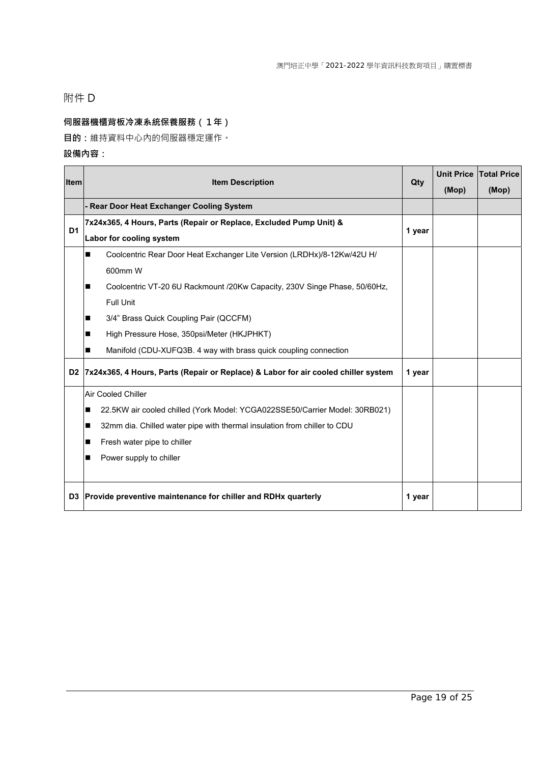## 附件 D

## **伺服器機櫃背板冷凍系統保養服務(1年)**

**目的:**維持資料中心內的伺服器穩定運作。

| <b>Item</b> | <b>Item Description</b>                                                               | Qty    |       | Unit Price Total Price |
|-------------|---------------------------------------------------------------------------------------|--------|-------|------------------------|
|             |                                                                                       |        | (Mop) | (Mop)                  |
|             | - Rear Door Heat Exchanger Cooling System                                             |        |       |                        |
| D1          | 7x24x365, 4 Hours, Parts (Repair or Replace, Excluded Pump Unit) &                    | 1 year |       |                        |
|             | Labor for cooling system                                                              |        |       |                        |
|             | Coolcentric Rear Door Heat Exchanger Lite Version (LRDHx)/8-12Kw/42U H/               |        |       |                        |
|             | 600mm W                                                                               |        |       |                        |
|             | Coolcentric VT-20 6U Rackmount /20Kw Capacity, 230V Singe Phase, 50/60Hz,<br>п        |        |       |                        |
|             | <b>Full Unit</b>                                                                      |        |       |                        |
|             | 3/4" Brass Quick Coupling Pair (QCCFM)<br>п                                           |        |       |                        |
|             | High Pressure Hose, 350psi/Meter (HKJPHKT)<br>■                                       |        |       |                        |
|             | Manifold (CDU-XUFQ3B. 4 way with brass quick coupling connection                      |        |       |                        |
|             | D2 7x24x365, 4 Hours, Parts (Repair or Replace) & Labor for air cooled chiller system | 1 year |       |                        |
|             | <b>Air Cooled Chiller</b>                                                             |        |       |                        |
|             | 22.5KW air cooled chilled (York Model: YCGA022SSE50/Carrier Model: 30RB021)           |        |       |                        |
|             | 32mm dia. Chilled water pipe with thermal insulation from chiller to CDU<br>п         |        |       |                        |
|             | Fresh water pipe to chiller                                                           |        |       |                        |
|             | Power supply to chiller<br>■                                                          |        |       |                        |
|             |                                                                                       |        |       |                        |
|             | D3 Provide preventive maintenance for chiller and RDHx quarterly                      | 1 year |       |                        |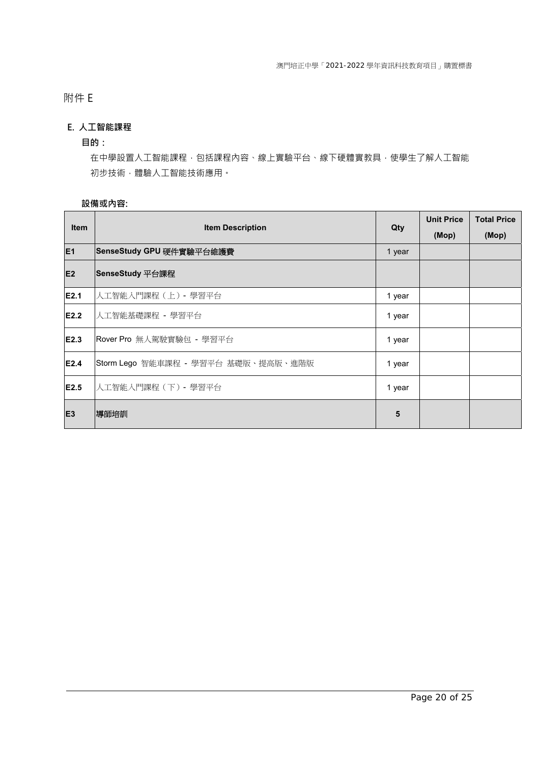## 附件 E

### **E. 人工智能課程**

#### **目的:**

在中學設置人工智能課程,包括課程內容、線上實驗平台、線下硬體實教具,使學生了解人工智能 初步技術,體驗人工智能技術應用。

| Item           | <b>Item Description</b>             | Qty    | <b>Unit Price</b> | <b>Total Price</b> |
|----------------|-------------------------------------|--------|-------------------|--------------------|
|                |                                     |        | (Mop)             | (Mop)              |
| E <sub>1</sub> | SenseStudy GPU 硬件實驗平台維護費            | 1 year |                   |                    |
| E <sub>2</sub> | SenseStudy 平台課程                     |        |                   |                    |
| E2.1           | 人工智能入門課程 (上) - 學習平台                 | 1 year |                   |                    |
| E2.2           | 人工智能基礎課程 - 學習平台                     | 1 year |                   |                    |
| E2.3           | Rover Pro 無人駕駛實驗包 - 學習平台            | 1 year |                   |                    |
| E2.4           | Storm Lego 智能車課程 - 學習平台 基礎版、提高版、進階版 | 1 year |                   |                    |
| E2.5           | 人工智能入門課程 (下) - 學習平台                 | 1 year |                   |                    |
| E <sub>3</sub> | 導師培訓                                | 5      |                   |                    |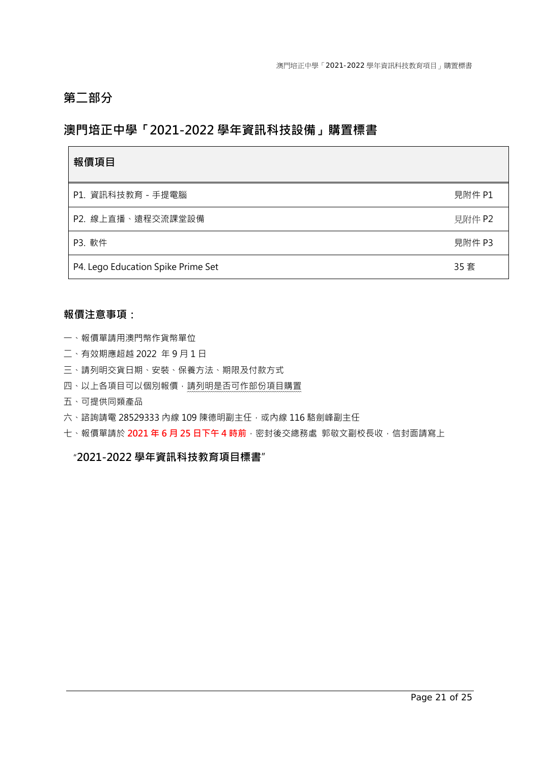# **第二部分**

## **澳門培正中學「2021-2022 學年資訊科技設備」購置標書**

| 報價項目                               |        |
|------------------------------------|--------|
| P1. 資訊科技教育 - 手提電腦                  | 見附件 P1 |
| P2. 線上直播、遠程交流課堂設備                  | 見附件 P2 |
| P3. 軟件                             | 見附件 P3 |
| P4. Lego Education Spike Prime Set | 35 套   |

### **報價注意事項:**

- 一、報價單請用澳門幣作貨幣單位
- 二、有效期應超越 2022 年 9 月 1 日
- 三、請列明交貨日期、安裝、保養方法、期限及付款方式
- 四、以上各項目可以個別報價,請列明是否可作部份項目購置
- 五、可提供同類產品
- 六、諮詢請電 28529333 內線 109 陳德明副主任,或內線 116 駱劍峰副主任
- 七、報價單請於 **2021 年 6 月 25 日下午 4 時前**,密封後交總務處 郭敬文副校長收,信封面請寫上

### "**2021-2022 學年資訊科技教育項目標書**"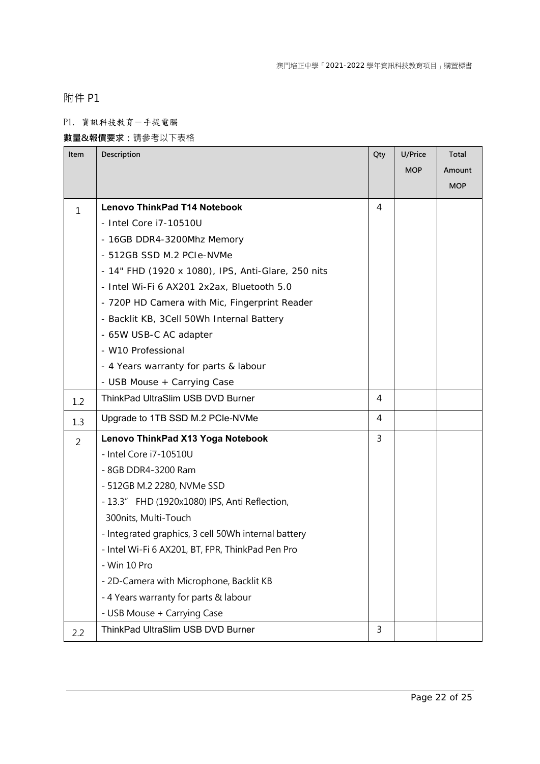附件 P1

### P1. 資訊科技教育-手提電腦

## **數量&報價要求:**請參考以下表格

| Item           | Description                                         | Qty            | U/Price    | Total      |
|----------------|-----------------------------------------------------|----------------|------------|------------|
|                |                                                     |                | <b>MOP</b> | Amount     |
|                |                                                     |                |            | <b>MOP</b> |
| 1              | <b>Lenovo ThinkPad T14 Notebook</b>                 | $\overline{4}$ |            |            |
|                | - Intel Core i7-10510U                              |                |            |            |
|                | - 16GB DDR4-3200Mhz Memory                          |                |            |            |
|                | - 512GB SSD M.2 PCIe-NVMe                           |                |            |            |
|                | - 14" FHD (1920 x 1080), IPS, Anti-Glare, 250 nits  |                |            |            |
|                | - Intel Wi-Fi 6 AX201 2x2ax, Bluetooth 5.0          |                |            |            |
|                | - 720P HD Camera with Mic, Fingerprint Reader       |                |            |            |
|                | - Backlit KB, 3Cell 50Wh Internal Battery           |                |            |            |
|                | - 65W USB-C AC adapter                              |                |            |            |
|                | - W10 Professional                                  |                |            |            |
|                | - 4 Years warranty for parts & labour               |                |            |            |
|                | - USB Mouse + Carrying Case                         |                |            |            |
| 1.2            | ThinkPad UltraSlim USB DVD Burner                   | 4              |            |            |
| 1.3            | Upgrade to 1TB SSD M.2 PCIe-NVMe                    | 4              |            |            |
| $\overline{2}$ | Lenovo ThinkPad X13 Yoga Notebook                   | 3              |            |            |
|                | - Intel Core i7-10510U                              |                |            |            |
|                | - 8GB DDR4-3200 Ram                                 |                |            |            |
|                | - 512GB M.2 2280, NVMe SSD                          |                |            |            |
|                | - 13.3" FHD (1920x1080) IPS, Anti Reflection,       |                |            |            |
|                | 300nits, Multi-Touch                                |                |            |            |
|                | - Integrated graphics, 3 cell 50Wh internal battery |                |            |            |
|                | - Intel Wi-Fi 6 AX201, BT, FPR, ThinkPad Pen Pro    |                |            |            |
|                | - Win 10 Pro                                        |                |            |            |
|                | - 2D-Camera with Microphone, Backlit KB             |                |            |            |
|                | - 4 Years warranty for parts & labour               |                |            |            |
|                | - USB Mouse + Carrying Case                         |                |            |            |
| 2.2            | ThinkPad UltraSlim USB DVD Burner                   | 3              |            |            |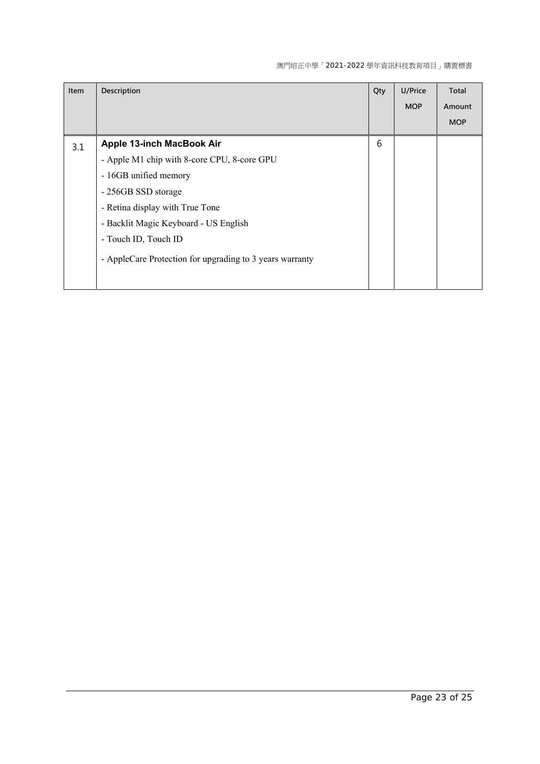#### 澳門培正中學「2021-2022 學年資訊科技教育項目」購置標書

| Item | Description                                              | Qty | U/Price    | Total      |
|------|----------------------------------------------------------|-----|------------|------------|
|      |                                                          |     | <b>MOP</b> | Amount     |
|      |                                                          |     |            | <b>MOP</b> |
| 3.1  | <b>Apple 13-inch MacBook Air</b>                         | 6   |            |            |
|      | - Apple M1 chip with 8-core CPU, 8-core GPU              |     |            |            |
|      | - 16GB unified memory                                    |     |            |            |
|      | - 256GB SSD storage                                      |     |            |            |
|      | - Retina display with True Tone                          |     |            |            |
|      | - Backlit Magic Keyboard - US English                    |     |            |            |
|      | - Touch ID, Touch ID                                     |     |            |            |
|      | - AppleCare Protection for upgrading to 3 years warranty |     |            |            |
|      |                                                          |     |            |            |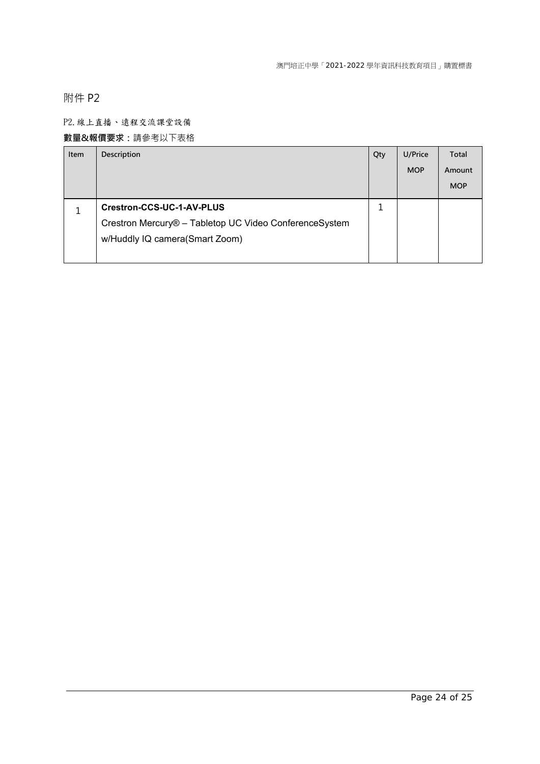附件 P2

### P2.線上直播、遠程交流課堂設備

### **數量&報價要求:**請參考以下表格

| Item | Description                                            | Qty | U/Price    | Total      |
|------|--------------------------------------------------------|-----|------------|------------|
|      |                                                        |     | <b>MOP</b> | Amount     |
|      |                                                        |     |            | <b>MOP</b> |
|      | Crestron-CCS-UC-1-AV-PLUS                              | J.  |            |            |
|      | Crestron Mercury® - Tabletop UC Video ConferenceSystem |     |            |            |
|      | w/Huddly IQ camera(Smart Zoom)                         |     |            |            |
|      |                                                        |     |            |            |